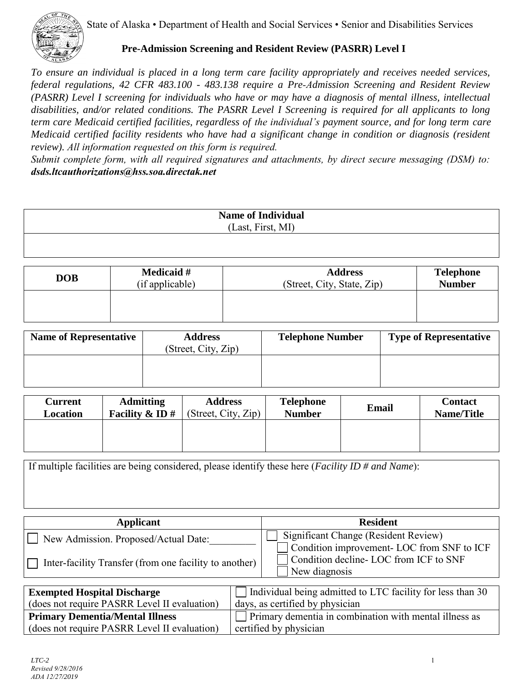State of Alaska • Department of Health and Social Services • Senior and Disabilities Services



**Pre-Admission Screening and Resident Review (PASRR) Level I** 

*To ensure an individual is placed in a long term care facility appropriately and receives needed services, federal regulations, 42 CFR 483.100 - 483.138 require a Pre-Admission Screening and Resident Review (PASRR) Level I screening for individuals who have or may have a diagnosis of mental illness, intellectual disabilities, and/or related conditions. The PASRR Level I Screening is required for all applicants to long term care Medicaid certified facilities, regardless of the individual's payment source, and for long term care Medicaid certified facility residents who have had a significant change in condition or diagnosis (resident review). All information requested on this form is required.* 

*Submit complete form, with all required signatures and attachments, by direct secure messaging (DSM) to: [dsds.ltcauthorizations@hss.soa.directak.net](mailto:dsds.ltcauthorizations@hss.soa.directak.net)*

| <b>Name of Individual</b> |  |
|---------------------------|--|
| (Last, First, MI)         |  |
|                           |  |
|                           |  |

| <b>DOB</b> | <b>Medicaid</b> # | <b>Address</b>             | <b>Telephone</b> |
|------------|-------------------|----------------------------|------------------|
|            | (if applicable)   | (Street, City, State, Zip) | <b>Number</b>    |
|            |                   |                            |                  |

| <b>Name of Representative</b> | <b>Address</b><br>(Street, City, Zip) | <b>Telephone Number</b> | <b>Type of Representative</b> |
|-------------------------------|---------------------------------------|-------------------------|-------------------------------|
|                               |                                       |                         |                               |

| <b>Current</b> | <b>Admitting</b>  | <b>Address</b>      | <b>Telephone</b> | <b>Email</b> | <b>Contact</b>    |
|----------------|-------------------|---------------------|------------------|--------------|-------------------|
| Location       | Facility & ID $#$ | (Street, City, Zip) | <b>Number</b>    |              | <b>Name/Title</b> |
|                |                   |                     |                  |              |                   |

If multiple facilities are being considered, please identify these here (*Facility ID # and Name*):

| <b>Applicant</b>                                       | <b>Resident</b>                                                                    |
|--------------------------------------------------------|------------------------------------------------------------------------------------|
| □ New Admission. Proposed/Actual Date:                 | Significant Change (Resident Review)<br>Condition improvement- LOC from SNF to ICF |
| Inter-facility Transfer (from one facility to another) | Condition decline-LOC from ICF to SNF<br>New diagnosis                             |

| <b>Exempted Hospital Discharge</b>           | $\Box$ Individual being admitted to LTC facility for less than 30 |
|----------------------------------------------|-------------------------------------------------------------------|
| (does not require PASRR Level II evaluation) | days, as certified by physician                                   |
| <b>Primary Dementia/Mental Illness</b>       | $\Box$ Primary dementia in combination with mental illness as     |
| (does not require PASRR Level II evaluation) | certified by physician                                            |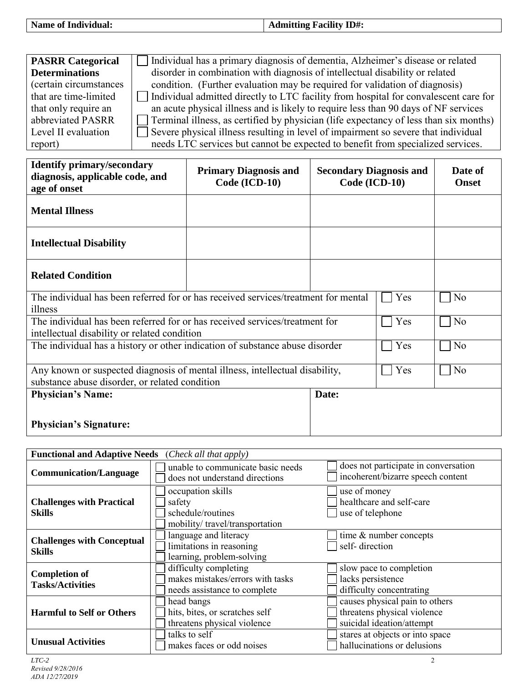| $\cdots$<br>$ID#$ :<br>' OI<br>ı n<br>. я<br>$1 - 1$<br>$   -$<br>$\overline{ }$ |  |
|----------------------------------------------------------------------------------|--|
|                                                                                  |  |

| <b>PASRR Categorical</b> | Individual has a primary diagnosis of dementia, Alzheimer's disease or related               |
|--------------------------|----------------------------------------------------------------------------------------------|
| <b>Determinations</b>    | disorder in combination with diagnosis of intellectual disability or related                 |
| (certain circumstances)  | condition. (Further evaluation may be required for validation of diagnosis)                  |
| that are time-limited    | Individual admitted directly to LTC facility from hospital for convalescent care for         |
| that only require an     | an acute physical illness and is likely to require less than 90 days of NF services          |
| abbreviated PASRR        | $\Box$ Terminal illness, as certified by physician (life expectancy of less than six months) |
| Level II evaluation      | Severe physical illness resulting in level of impairment so severe that individual           |
| report)                  | needs LTC services but cannot be expected to benefit from specialized services.              |

| <b>Identify primary/secondary</b><br>diagnosis, applicable code, and<br>age of onset                                           | <b>Primary Diagnosis and</b><br>Code (ICD-10) | <b>Secondary Diagnosis and</b><br>Code (ICD-10) |     | Date of<br><b>Onset</b> |
|--------------------------------------------------------------------------------------------------------------------------------|-----------------------------------------------|-------------------------------------------------|-----|-------------------------|
| <b>Mental Illness</b>                                                                                                          |                                               |                                                 |     |                         |
| <b>Intellectual Disability</b>                                                                                                 |                                               |                                                 |     |                         |
| <b>Related Condition</b>                                                                                                       |                                               |                                                 |     |                         |
| The individual has been referred for or has received services/treatment for mental<br>illness                                  |                                               |                                                 | Yes | N <sub>0</sub>          |
| The individual has been referred for or has received services/treatment for<br>intellectual disability or related condition    |                                               |                                                 | Yes | No                      |
| The individual has a history or other indication of substance abuse disorder                                                   |                                               |                                                 | Yes | N <sub>0</sub>          |
| Any known or suspected diagnosis of mental illness, intellectual disability,<br>substance abuse disorder, or related condition |                                               |                                                 | Yes | N <sub>o</sub>          |
| <b>Physician's Name:</b>                                                                                                       |                                               | Date:                                           |     |                         |
| <b>Physician's Signature:</b>                                                                                                  |                                               |                                                 |     |                         |

| <b>Functional and Adaptive Needs</b> (Check all that apply) |                                                                                           |                                                                                            |
|-------------------------------------------------------------|-------------------------------------------------------------------------------------------|--------------------------------------------------------------------------------------------|
| <b>Communication/Language</b>                               | unable to communicate basic needs<br>does not understand directions                       | does not participate in conversation<br>incoherent/bizarre speech content                  |
| <b>Challenges with Practical</b><br><b>Skills</b>           | occupation skills<br>safety<br>schedule/routines<br>mobility/travel/transportation        | use of money<br>healthcare and self-care<br>use of telephone                               |
| <b>Challenges with Conceptual</b><br>Skills                 | language and literacy<br>limitations in reasoning<br>learning, problem-solving            | time & number concepts<br>self-direction                                                   |
| <b>Completion of</b><br><b>Tasks/Activities</b>             | difficulty completing<br>makes mistakes/errors with tasks<br>needs assistance to complete | slow pace to completion<br>lacks persistence<br>difficulty concentrating                   |
| <b>Harmful to Self or Others</b>                            | head bangs<br>hits, bites, or scratches self<br>threatens physical violence               | causes physical pain to others<br>threatens physical violence<br>suicidal ideation/attempt |
| <b>Unusual Activities</b>                                   | talks to self<br>makes faces or odd noises                                                | stares at objects or into space<br>hallucinations or delusions                             |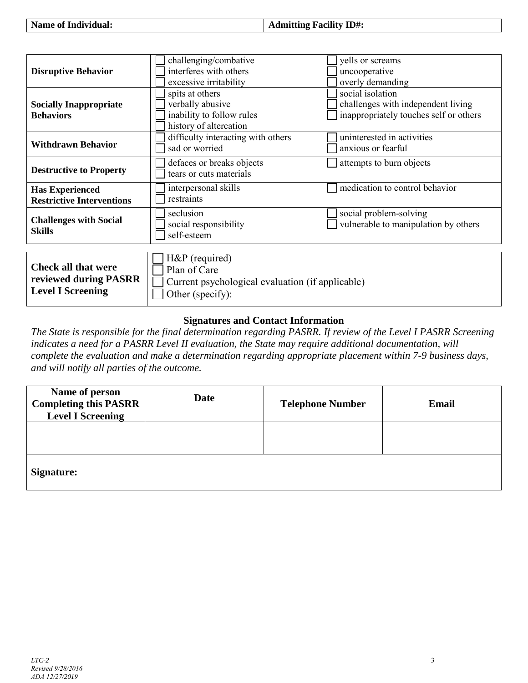| <b>Name of Individual:</b> | Admitting Facility ID#: |
|----------------------------|-------------------------|
|----------------------------|-------------------------|

| <b>Disruptive Behavior</b>                                                      | challenging/combative<br>interferes with others<br>excessive irritability                              | yells or screams<br>uncooperative<br>overly demanding                                            |
|---------------------------------------------------------------------------------|--------------------------------------------------------------------------------------------------------|--------------------------------------------------------------------------------------------------|
| <b>Socially Inappropriate</b><br><b>Behaviors</b>                               | spits at others<br>verbally abusive<br>inability to follow rules<br>history of altercation             | social isolation<br>challenges with independent living<br>inappropriately touches self or others |
| <b>Withdrawn Behavior</b>                                                       | difficulty interacting with others<br>sad or worried                                                   | uninterested in activities<br>anxious or fearful                                                 |
| <b>Destructive to Property</b>                                                  | defaces or breaks objects<br>tears or cuts materials                                                   | attempts to burn objects                                                                         |
| <b>Has Experienced</b><br><b>Restrictive Interventions</b>                      | interpersonal skills<br>restraints                                                                     | medication to control behavior                                                                   |
| <b>Challenges with Social</b><br><b>Skills</b>                                  | seclusion<br>social responsibility<br>self-esteem                                                      | social problem-solving<br>vulnerable to manipulation by others                                   |
| <b>Check all that were</b><br>reviewed during PASRR<br><b>Level I Screening</b> | H&P (required)<br>Plan of Care<br>Current psychological evaluation (if applicable)<br>Other (specify): |                                                                                                  |

## **Signatures and Contact Information**

 *The State is responsible for the final determination regarding PASRR. If review of the Level I PASRR Screening indicates a need for a PASRR Level II evaluation, the State may require additional documentation, will complete the evaluation and make a determination regarding appropriate placement within 7-9 business days, and will notify all parties of the outcome.* 

| Name of person<br><b>Completing this PASRR</b><br><b>Level I Screening</b> | <b>Date</b> | <b>Telephone Number</b> | Email |  |
|----------------------------------------------------------------------------|-------------|-------------------------|-------|--|
|                                                                            |             |                         |       |  |
| Signature:                                                                 |             |                         |       |  |